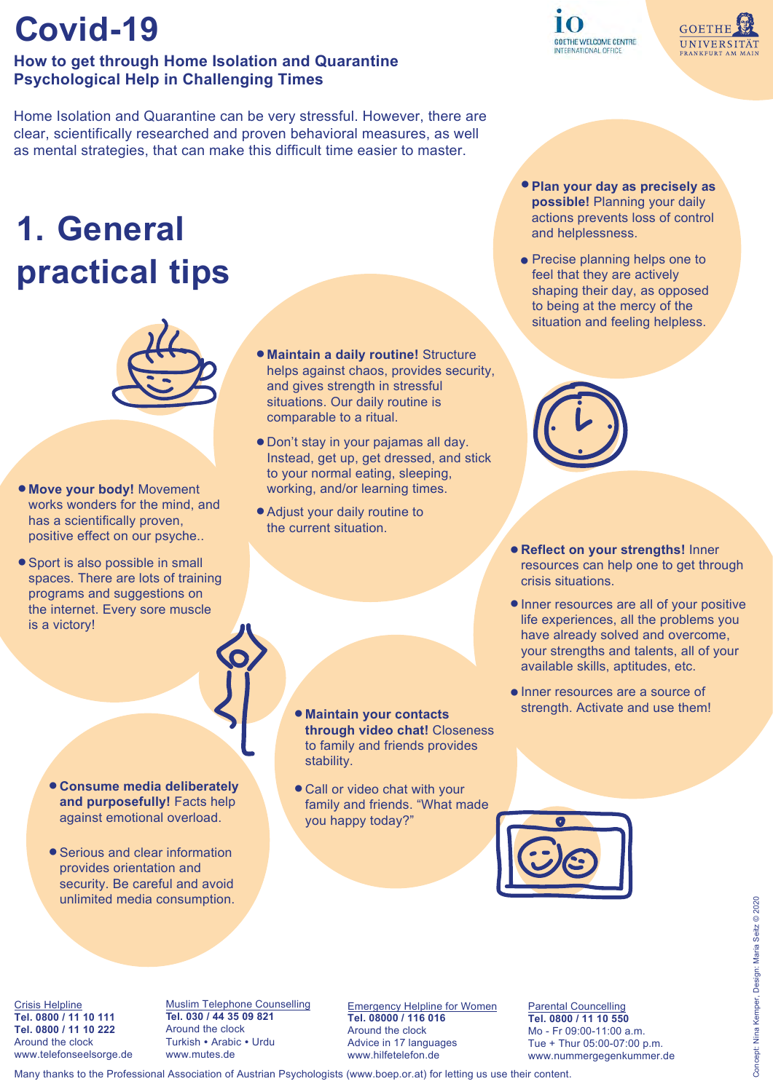### **How to get through Home Isolation and Quarantine Psychological Help in Challenging Times**

Home Isolation and Quarantine can be very stressful. However, there are clear, scientifically researched and proven behavioral measures, as well as mental strategies, that can make this difficult time easier to master.

# **1. General practical tips**



- *Move your body! Movement* works wonders for the mind, and has a scientifically proven, positive effect on our psyche..
- Sport is also possible in small spaces. There are lots of training programs and suggestions on the internet. Every sore muscle is a victory!
- $\bullet$  **Maintain a daily routine!** Structure helps against chaos, provides security, and gives strength in stressful situations. Our daily routine is comparable to a ritual.
- Don't stay in your pajamas all day. Instead, get up, get dressed, and stick to your normal eating, sleeping, working, and/or learning times.
- Adjust your daily routine to the current situation.
- **Plan your day as precisely as possible!** Planning your daily actions prevents loss of control and helplessness.
- Precise planning helps one to feel that they are actively shaping their day, as opposed to being at the mercy of the situation and feeling helpless.



- **Reflect on your strengths! Inner** resources can help one to get through crisis situations.
- Inner resources are all of your positive life experiences, all the problems you have already solved and overcome, your strengths and talents, all of your available skills, aptitudes, etc.
- Inner resources are a source of strength. Activate and use them!
- **Consume media deliberately and purposefully!** Facts help against emotional overload.
- Serious and clear information provides orientation and security. Be careful and avoid unlimited media consumption.
- **Maintain your contacts through video chat!** Closeness to family and friends provides stability.
- Call or video chat with your family and friends. "What made you happy today?"





Crisis Helpline **Tel. 0800 / 11 10 111 Tel. 0800 / 11 10 222** Around the clock [www.telefonseelsorge.de](https://www.telefonseelsorge.de/?q=node/7651) Muslim Telephone Counselling **Tel. 030 / 44 35 09 821** Around the clock Turkish • Arabic • Urdu www.mutes.de

Emergency Helpline for Women **Tel. 08000 / 116 016**  Around the clock Advice in 17 languages [www.hilfetelef](https://www.hilfetelefon.de/das-hilfetelefon/beratung/beratung-in-17-sprachen/englisch.html)on.de

Parental Councelling **Tel. 0800 / 11 10 550** Mo - Fr 09:00-11:00 a.m. Tue + Thur 05:00-07:00 p.m. www.nummergegenkummer.de

Many thanks to the Professional Association of Austrian Psychologists (www.boep.or.at) for letting us use their content.



**GOETHE** 

UNIVERSITÄT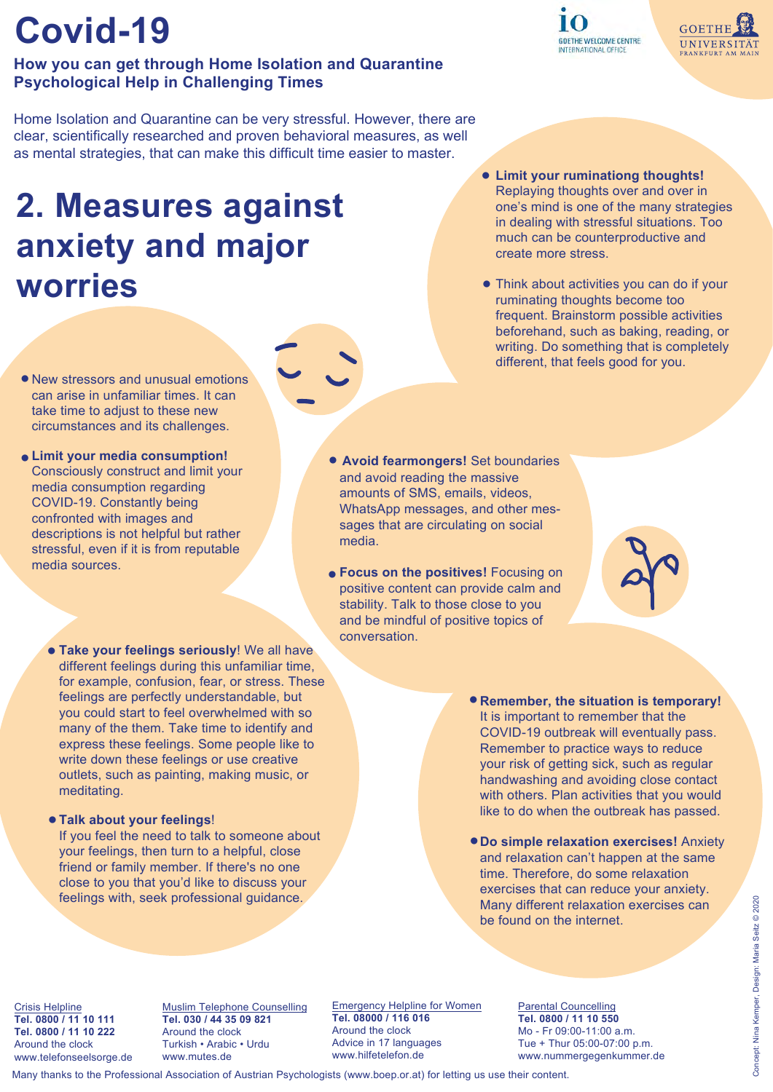### **How you can get through Home Isolation and Quarantine Psychological Help in Challenging Times**

Home Isolation and Quarantine can be very stressful. However, there are clear, scientifically researched and proven behavioral measures, as well as mental strategies, that can make this difficult time easier to master.

# **2. Measures against anxiety and major worries**

Replaying thoughts over and over in one's mind is one of the many strategies in dealing with stressful situations. Too much can be counterproductive and create more stress.

**Limit your ruminationg thoughts!** ●

**GOETHE WELCOME CENTRE** 

INTERNATIONAL OFFICE

Think about activities you can do if your ● ruminating thoughts become too frequent. Brainstorm possible activities beforehand, such as baking, reading, or writing. Do something that is completely different, that feels good for you.

- New stressors and unusual emotions can arise in unfamiliar times. It can take time to adjust to these new circumstances and its challenges.
- Limit your media consumption! Consciously construct and limit your media consumption regarding COVID-19. Constantly being confronted with images and descriptions is not helpful but rather stressful, even if it is from reputable media sources.
	- **. Take your feelings seriously!** We all have different feelings during this unfamiliar time, for example, confusion, fear, or stress. These feelings are perfectly understandable, but you could start to feel overwhelmed with so many of the them. Take time to identify and express these feelings. Some people like to write down these feelings or use creative outlets, such as painting, making music, or meditating.

#### **Talk about your feelings**! ●

If you feel the need to talk to someone about your feelings, then turn to a helpful, close friend or family member. If there's no one close to you that you'd like to discuss your feelings with, seek professional guidance.

- **Avoid fearmongers! Set boundaries** and avoid reading the massive amounts of SMS, emails, videos, WhatsApp messages, and other messages that are circulating on social media.
- **Focus on the positives!** Focusing on positive content can provide calm and stability. Talk to those close to you and be mindful of positive topics of conversation.
	- **Remember, the situation is temporary!**  It is important to remember that the COVID-19 outbreak will eventually pass. Remember to practice ways to reduce your risk of getting sick, such as regular handwashing and avoiding close contact with others. Plan activities that you would like to do when the outbreak has passed.
	- **Do simple relaxation exercises!** Anxiety and relaxation can't happen at the same time. Therefore, do some relaxation exercises that can reduce your anxiety. Many different relaxation exercises can be found on the internet.

Crisis Helpline **Tel. 0800 / 11 10 111 Tel. 0800 / 11 10 222** Around the clock [www.telefonseelsorge.de](https://www.telefonseelsorge.de/?q=node/7651)

Muslim Telephone Counselling **Tel. 030 / 44 35 09 821**  Around the clock Turkish • Arabic • Urdu www.mutes.de

[Emergency Helpline for Women](https://www.hilfetelefon.de/das-hilfetelefon/beratung/beratung-in-17-sprachen/englisch.html) **Tel. 08000 / 116 016**  Around the clock Advice in 17 languages www.hilfetelefon.de

Parental Councelling **Tel. 0800 / 11 10 550**  Mo - Fr 09:00-11:00 a.m. Tue + Thur 05:00-07:00 p.m. www.nummergegenkummer.de

Many thanks to the Professional Association of Austrian Psychologists (www.boep.or.at) for letting us use their content.



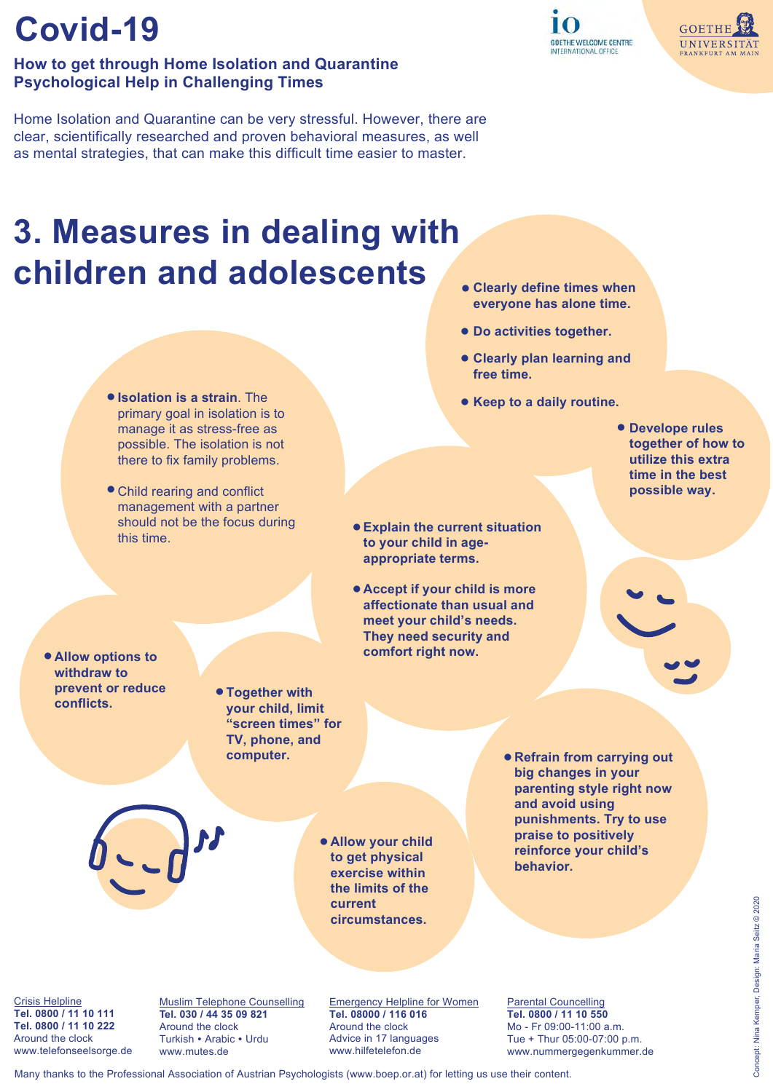### **How to get through Home Isolation and Quarantine Psychological Help in Challenging Times**

Home Isolation and Quarantine can be very stressful. However, there are clear, scientifically researched and proven behavioral measures, as well as mental strategies, that can make this difficult time easier to master.

### **3. Measures in dealing with children and adolescents**

- $\bullet$  **Isolation is a strain**. The primary goal in isolation is to manage it as stress-free as possible. The isolation is not there to fix family problems.
- Child rearing and conflict management with a partner should not be the focus during this time.
- **Clearly define times when everyone has alone time.**
- **Do activities together.** ●
- **Clearly plan learning and free time.**
- **Keep to a daily routine.**
	- **Develope rules together of how to utilize this extra time in the best possible way.**
- **Explain the current situation to your child in ageappropriate terms.**
- **Accept if your child is more affectionate than usual and meet your child's needs. They need security and comfort right now.**
- **Allow options to withdraw to prevent or reduce conflicts.**
- **Together with your child, limit "screen times" for TV, phone, and computer.**

**Allow your child**  ● **to get physical exercise within the limits of the current circumstances.**

**Refrain from carrying out**  ● **big changes in your parenting style right now and avoid using punishments. Try to use praise to positively reinforce your child's behavior.**

Crisis Helpline **Tel. 0800 / 11 10 111 Tel. 0800 / 11 10 222** Around the clock [www.telefonseelsorge.de](https://www.telefonseelsorge.de/?q=node/7651) Muslim Telephone Counselling **Tel. 030 / 44 35 09 821** Around the clock Turkish • Arabic • Urdu www.mutes.de

Emergency Helpline for Women **Tel. 08000 / 116 016**  Around the clock Advice in 17 languages [www.hilfetelefon.de](https://www.hilfetelefon.de/das-hilfetelefon/beratung/beratung-in-17-sprachen/englisch.html)

Parental Councelling **Tel. 0800 / 11 10 550**  Mo - Fr 09:00-11:00 a.m. Tue + Thur 05:00-07:00 p.m. www.nummergegenkummer.de

Many thanks to the Professional Association of Austrian Psychologists (www.boep.or.at) for letting us use their content.

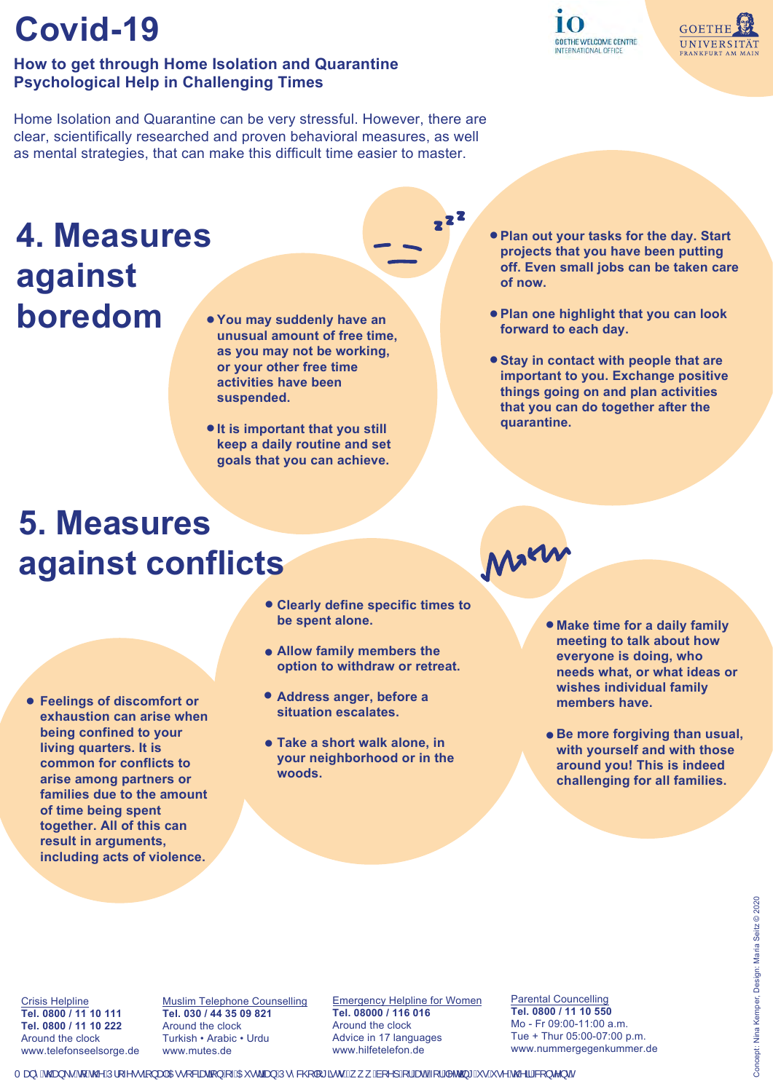### **How to get through Home Isolation and Quarantine Psychological Help in Challenging Times**

Home Isolation and Quarantine can be very stressful. However, there are clear, scientifically researched and proven behavioral measures, as well as mental strategies, that can make this difficult time easier to master.

### **4. Measures against boredom**

- **You may suddenly have an unusual amount of free time, as you may not be working, or your other free time activities have been suspended.**
- $\bullet$  **It is important that you still keep a daily routine and set goals that you can achieve.**
- **Plan out your tasks for the day. Start projects that you have been putting off. Even small jobs can be taken care of now.**
- **Plan one highlight that you can look forward to each day.**
- **Stay in contact with people that are important to you. Exchange positive things going on and plan activities that you can do together after the quarantine.**

Marn

# **5. Measures against conflicts**

- **Feelings of discomfort or exhaustion can arise when being confined to your living quarters. It is common for conflicts to arise among partners or families due to the amount of time being spent together. All of this can result in arguments, including acts of violence.**
- **Clearly define specific times to be spent alone.**

 $2^2$ 

- **Allow family members the option to withdraw or retreat.**
- **Address anger, before a situation escalates.**
- **Take a short walk alone, in your neighborhood or in the woods.**

**. Make time for a daily family meeting to talk about how everyone is doing, who needs what, or what ideas or wishes individual family members have.**

**• Be more forgiving than usual, with yourself and with those around you! This is indeed challenging for all families.**

Crisis Helpline **Tel. 0800 / 11 10 111 Tel. 0800 / 11 10 222** Around the clock [www.telefonseelsorge.de](https://www.telefonseelsorge.de/?q=node/7651)

Muslim Telephone Counselling **Tel. 030 / 44 35 09 821** Around the clock Turkish • Arabic • Urdu www.mutes.de

Emergency Helpline for Women **Tel. 08000 / 116 016**  Around the clock Advice in 17 languages [www.hilfetelefon.de](https://www.hilfetelefon.de/das-hilfetelefon/beratung/beratung-in-17-sprachen/englisch.html)

Parental Councelling **Tel. 0800 / 11 10 550**  Mo - Fr 09:00-11:00 a.m. Tue + Thur 05:00-07:00 p.m. www.nummergegenkummer.de



**GOETHE** 

UNIVERSITÄT